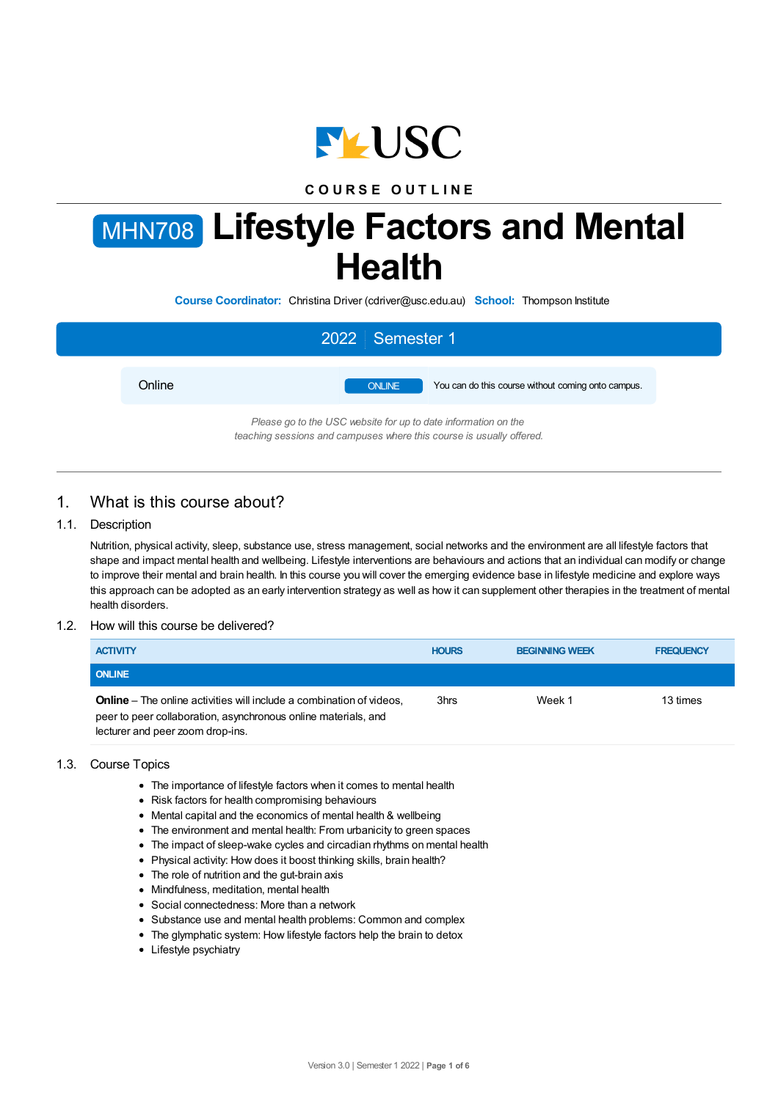

## **C O U R S E O U T L I N E**

# MHN708 **Lifestyle Factors and Mental Health**

**Course Coordinator:** Christina Driver (cdriver@usc.edu.au) **School:** Thompson Institute

|                                                                                                                                        | 2022 Semester 1                                                     |  |  |
|----------------------------------------------------------------------------------------------------------------------------------------|---------------------------------------------------------------------|--|--|
| Online                                                                                                                                 | You can do this course without coming onto campus.<br><b>ONLINE</b> |  |  |
| Please go to the USC website for up to date information on the<br>teaching sessions and campuses where this course is usually offered. |                                                                     |  |  |

## 1. What is this course about?

## 1.1. Description

Nutrition, physical activity, sleep, substance use, stress management, social networks and the environment are all lifestyle factors that shape and impact mental health and wellbeing. Lifestyle interventions are behaviours and actions that an individual can modify or change to improve their mental and brain health. In this course you will cover the emerging evidence base in lifestyle medicine and explore ways this approach can be adopted as an early intervention strategy as well as how it can supplement other therapies in the treatment of mental health disorders.

#### 1.2. How will this course be delivered?

| <b>ACTIVITY</b>                                                                                                                                                                   | <b>HOURS</b> | <b>BEGINNING WEEK</b> | <b>FREQUENCY</b> |
|-----------------------------------------------------------------------------------------------------------------------------------------------------------------------------------|--------------|-----------------------|------------------|
| <b>ONLINE</b>                                                                                                                                                                     |              |                       |                  |
| <b>Online</b> – The online activities will include a combination of videos,<br>peer to peer collaboration, asynchronous online materials, and<br>lecturer and peer zoom drop-ins. | 3hrs         | Week 1                | 13 times         |

## 1.3. Course Topics

- The importance of lifestyle factors when it comes to mental health
- Risk factors for health compromising behaviours
- Mental capital and the economics of mental health & wellbeing
- The environment and mental health: From urbanicity to green spaces
- The impact of sleep-wake cycles and circadian rhythms on mental health
- Physical activity: How does it boost thinking skills, brain health?
- The role of nutrition and the gut-brain axis
- Mindfulness, meditation, mental health
- Social connectedness: More than a network
- Substance use and mental health problems: Common and complex
- The glymphatic system: How lifestyle factors help the brain to detox
- Lifestyle psychiatry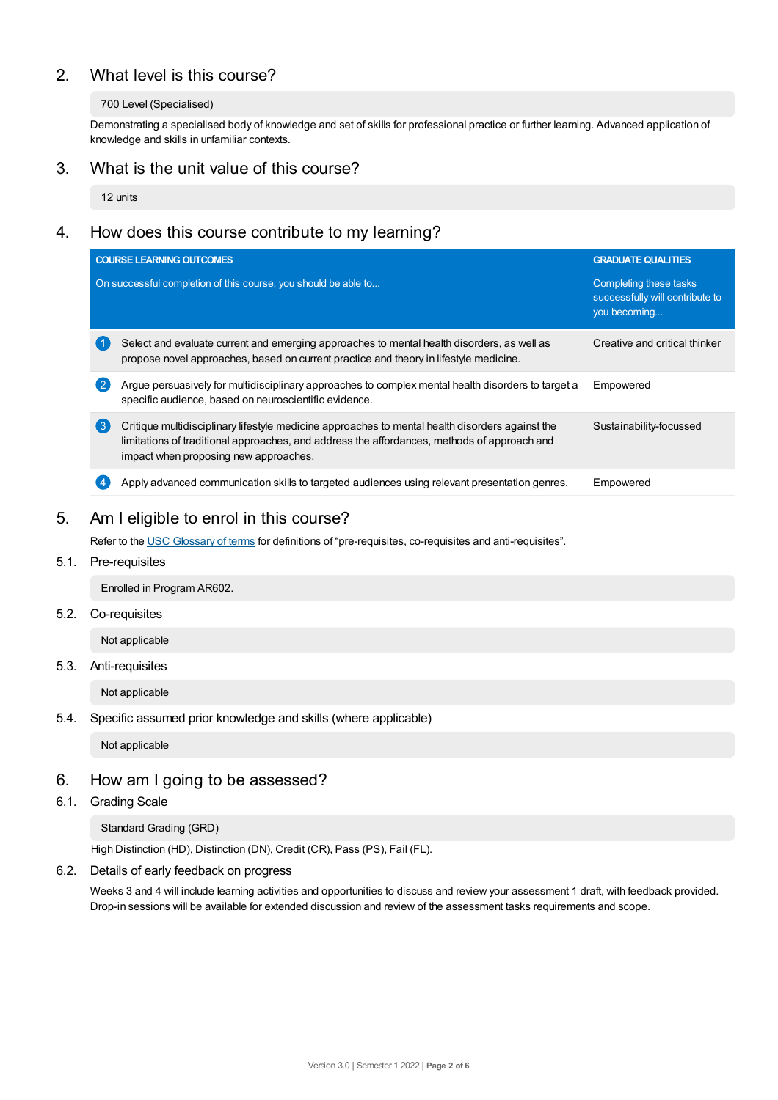# 2. What level is this course?

## 700 Level (Specialised)

Demonstrating a specialised body of knowledge and set of skills for professional practice or further learning. Advanced application of knowledge and skills in unfamiliar contexts.

## 3. What is the unit value of this course?

12 units

# 4. How does this course contribute to my learning?

|                | <b>COURSE LEARNING OUTCOMES</b>                                                                                                                                                                                                         | <b>GRADUATE QUALITIES</b>                                                 |  |
|----------------|-----------------------------------------------------------------------------------------------------------------------------------------------------------------------------------------------------------------------------------------|---------------------------------------------------------------------------|--|
|                | On successful completion of this course, you should be able to                                                                                                                                                                          | Completing these tasks<br>successfully will contribute to<br>you becoming |  |
|                | Select and evaluate current and emerging approaches to mental health disorders, as well as<br>propose novel approaches, based on current practice and theory in lifestyle medicine.                                                     | Creative and critical thinker                                             |  |
| $\overline{2}$ | Argue persuasively for multidisciplinary approaches to complex mental health disorders to target a<br>specific audience, based on neuroscientific evidence.                                                                             | Empowered                                                                 |  |
| 3              | Critique multidisciplinary lifestyle medicine approaches to mental health disorders against the<br>limitations of traditional approaches, and address the affordances, methods of approach and<br>impact when proposing new approaches. | Sustainability-focussed                                                   |  |
|                | Apply advanced communication skills to targeted audiences using relevant presentation genres.                                                                                                                                           | Empowered                                                                 |  |

# 5. Am Ieligible to enrol in this course?

Refer to the USC [Glossary](https://www.usc.edu.au/about/policies-and-procedures/glossary-of-terms-for-policy-and-procedures) of terms for definitions of "pre-requisites, co-requisites and anti-requisites".

5.1. Pre-requisites

Enrolled in Program AR602.

5.2. Co-requisites

Not applicable

5.3. Anti-requisites

Not applicable

## 5.4. Specific assumed prior knowledge and skills (where applicable)

Not applicable

## 6. How am Igoing to be assessed?

## 6.1. Grading Scale

Standard Grading (GRD)

High Distinction (HD), Distinction (DN), Credit (CR), Pass (PS), Fail (FL).

## 6.2. Details of early feedback on progress

Weeks 3 and 4 will include learning activities and opportunities to discuss and review your assessment 1 draft, with feedback provided. Drop-in sessions will be available for extended discussion and review of the assessment tasks requirements and scope.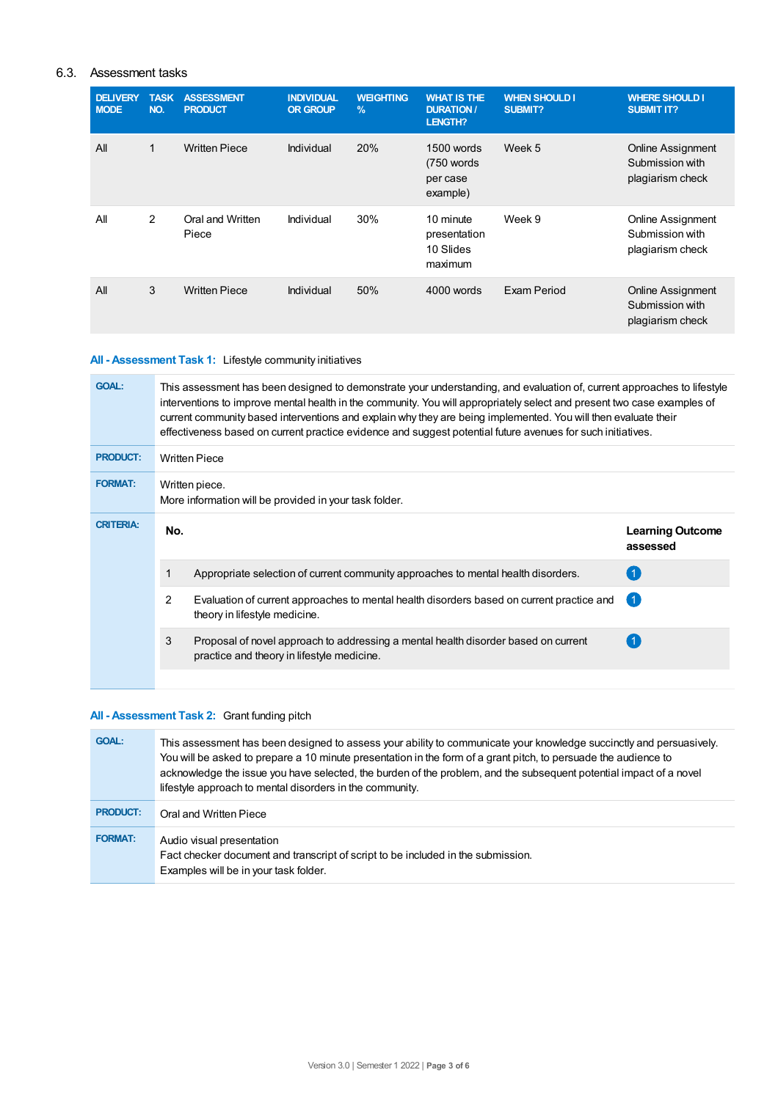## 6.3. Assessment tasks

| <b>DELIVERY</b><br><b>MODE</b> | <b>TASK</b><br>NO. | <b>ASSESSMENT</b><br><b>PRODUCT</b> | <b>INDIVIDUAL</b><br><b>OR GROUP</b> | <b>WEIGHTING</b><br>$\frac{9}{6}$ | <b>WHAT IS THE</b><br><b>DURATION /</b><br><b>LENGTH?</b> | <b>WHEN SHOULD I</b><br>SUBMIT? | <b>WHERE SHOULD I</b><br><b>SUBMIT IT?</b>                      |
|--------------------------------|--------------------|-------------------------------------|--------------------------------------|-----------------------------------|-----------------------------------------------------------|---------------------------------|-----------------------------------------------------------------|
| All                            | 1                  | <b>Written Piece</b>                | Individual                           | 20%                               | 1500 words<br>(750 words)<br>per case<br>example)         | Week 5                          | <b>Online Assignment</b><br>Submission with<br>plagiarism check |
| All                            | 2                  | Oral and Written<br>Piece           | Individual                           | 30%                               | 10 minute<br>presentation<br>10 Slides<br>maximum         | Week 9                          | Online Assignment<br>Submission with<br>plagiarism check        |
| All                            | 3                  | <b>Written Piece</b>                | Individual                           | 50%                               | 4000 words                                                | Exam Period                     | <b>Online Assignment</b><br>Submission with<br>plagiarism check |

## **All - Assessment Task 1:** Lifestyle community initiatives

| <b>GOAL:</b>     | This assessment has been designed to demonstrate your understanding, and evaluation of, current approaches to lifestyle<br>interventions to improve mental health in the community. You will appropriately select and present two case examples of<br>current community based interventions and explain why they are being implemented. You will then evaluate their<br>effectiveness based on current practice evidence and suggest potential future avenues for such initiatives. |                                                                                                                                  |                                     |  |  |
|------------------|-------------------------------------------------------------------------------------------------------------------------------------------------------------------------------------------------------------------------------------------------------------------------------------------------------------------------------------------------------------------------------------------------------------------------------------------------------------------------------------|----------------------------------------------------------------------------------------------------------------------------------|-------------------------------------|--|--|
| <b>PRODUCT:</b>  | <b>Written Piece</b>                                                                                                                                                                                                                                                                                                                                                                                                                                                                |                                                                                                                                  |                                     |  |  |
| <b>FORMAT:</b>   | Written piece.<br>More information will be provided in your task folder.                                                                                                                                                                                                                                                                                                                                                                                                            |                                                                                                                                  |                                     |  |  |
| <b>CRITERIA:</b> | No.                                                                                                                                                                                                                                                                                                                                                                                                                                                                                 |                                                                                                                                  | <b>Learning Outcome</b><br>assessed |  |  |
|                  |                                                                                                                                                                                                                                                                                                                                                                                                                                                                                     | Appropriate selection of current community approaches to mental health disorders.                                                |                                     |  |  |
|                  | 2                                                                                                                                                                                                                                                                                                                                                                                                                                                                                   | Evaluation of current approaches to mental health disorders based on current practice and<br>theory in lifestyle medicine.       | $\vert$ 1                           |  |  |
|                  | 3                                                                                                                                                                                                                                                                                                                                                                                                                                                                                   | Proposal of novel approach to addressing a mental health disorder based on current<br>practice and theory in lifestyle medicine. |                                     |  |  |
|                  |                                                                                                                                                                                                                                                                                                                                                                                                                                                                                     |                                                                                                                                  |                                     |  |  |

## **All - Assessment Task 2:** Grant funding pitch

| <b>GOAL:</b>    | This assessment has been designed to assess your ability to communicate your knowledge succinctly and persuasively.<br>You will be asked to prepare a 10 minute presentation in the form of a grant pitch, to persuade the audience to<br>acknowledge the issue you have selected, the burden of the problem, and the subsequent potential impact of a novel<br>lifestyle approach to mental disorders in the community. |
|-----------------|--------------------------------------------------------------------------------------------------------------------------------------------------------------------------------------------------------------------------------------------------------------------------------------------------------------------------------------------------------------------------------------------------------------------------|
| <b>PRODUCT:</b> | Oral and Written Piece                                                                                                                                                                                                                                                                                                                                                                                                   |
| <b>FORMAT:</b>  | Audio visual presentation<br>Fact checker document and transcript of script to be included in the submission.<br>Examples will be in your task folder.                                                                                                                                                                                                                                                                   |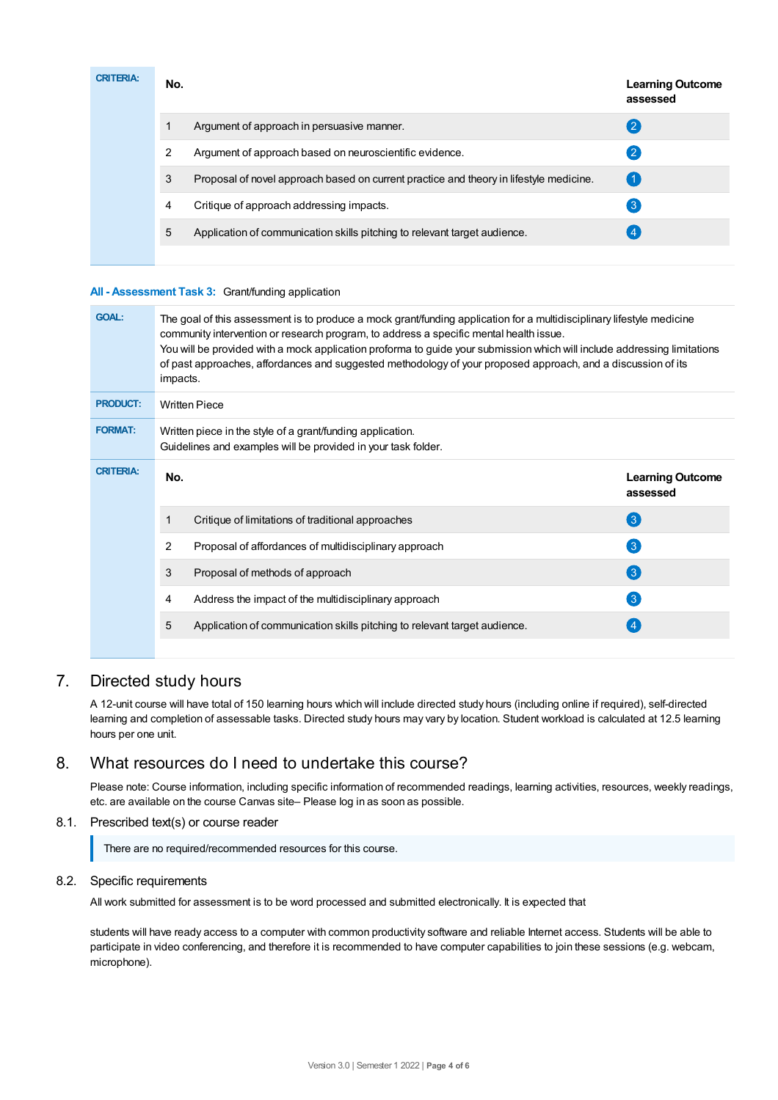| <b>CRITERIA:</b> | No. |                                                                                        | <b>Learning Outcome</b><br>assessed |
|------------------|-----|----------------------------------------------------------------------------------------|-------------------------------------|
|                  |     | Argument of approach in persuasive manner.                                             | 2                                   |
|                  | 2   | Argument of approach based on neuroscientific evidence.                                | 2                                   |
|                  | 3   | Proposal of novel approach based on current practice and theory in lifestyle medicine. |                                     |
|                  | 4   | Critique of approach addressing impacts.                                               | $\mathbf{3}$                        |
|                  | 5   | Application of communication skills pitching to relevant target audience.              |                                     |
|                  |     |                                                                                        |                                     |

## **All - Assessment Task 3:** Grant/funding application

| <b>GOAL:</b>     | The goal of this assessment is to produce a mock grant/funding application for a multidisciplinary lifestyle medicine<br>community intervention or research program, to address a specific mental health issue.<br>You will be provided with a mock application proforma to guide your submission which will include addressing limitations<br>of past approaches, affordances and suggested methodology of your proposed approach, and a discussion of its<br>impacts. |                                     |  |  |  |
|------------------|-------------------------------------------------------------------------------------------------------------------------------------------------------------------------------------------------------------------------------------------------------------------------------------------------------------------------------------------------------------------------------------------------------------------------------------------------------------------------|-------------------------------------|--|--|--|
| <b>PRODUCT:</b>  | <b>Written Piece</b>                                                                                                                                                                                                                                                                                                                                                                                                                                                    |                                     |  |  |  |
| <b>FORMAT:</b>   | Written piece in the style of a grant/funding application.<br>Guidelines and examples will be provided in your task folder.                                                                                                                                                                                                                                                                                                                                             |                                     |  |  |  |
| <b>CRITERIA:</b> | No.                                                                                                                                                                                                                                                                                                                                                                                                                                                                     | <b>Learning Outcome</b><br>assessed |  |  |  |
|                  | Critique of limitations of traditional approaches<br>1                                                                                                                                                                                                                                                                                                                                                                                                                  | $\left( 3\right)$                   |  |  |  |
|                  | 2<br>Proposal of affordances of multidisciplinary approach                                                                                                                                                                                                                                                                                                                                                                                                              | $\left(3\right)$                    |  |  |  |
|                  | 3<br>Proposal of methods of approach                                                                                                                                                                                                                                                                                                                                                                                                                                    | $\left( 3 \right)$                  |  |  |  |
|                  | Address the impact of the multidisciplinary approach<br>4                                                                                                                                                                                                                                                                                                                                                                                                               | $\left[3\right]$                    |  |  |  |
|                  | 5<br>Application of communication skills pitching to relevant target audience.                                                                                                                                                                                                                                                                                                                                                                                          |                                     |  |  |  |

## 7. Directed study hours

A 12-unit course will have total of 150 learning hours which will include directed study hours (including online if required), self-directed learning and completion of assessable tasks. Directed study hours may vary by location. Student workload is calculated at 12.5 learning hours per one unit.

## 8. What resources do I need to undertake this course?

Please note: Course information, including specific information of recommended readings, learning activities, resources, weekly readings, etc. are available on the course Canvas site– Please log in as soon as possible.

## 8.1. Prescribed text(s) or course reader

There are no required/recommended resources for this course.

## 8.2. Specific requirements

All work submitted for assessment is to be word processed and submitted electronically. It is expected that

students will have ready access to a computer with common productivity software and reliable Internet access. Students will be able to participate in video conferencing, and therefore it is recommended to have computer capabilities to join these sessions (e.g. webcam, microphone).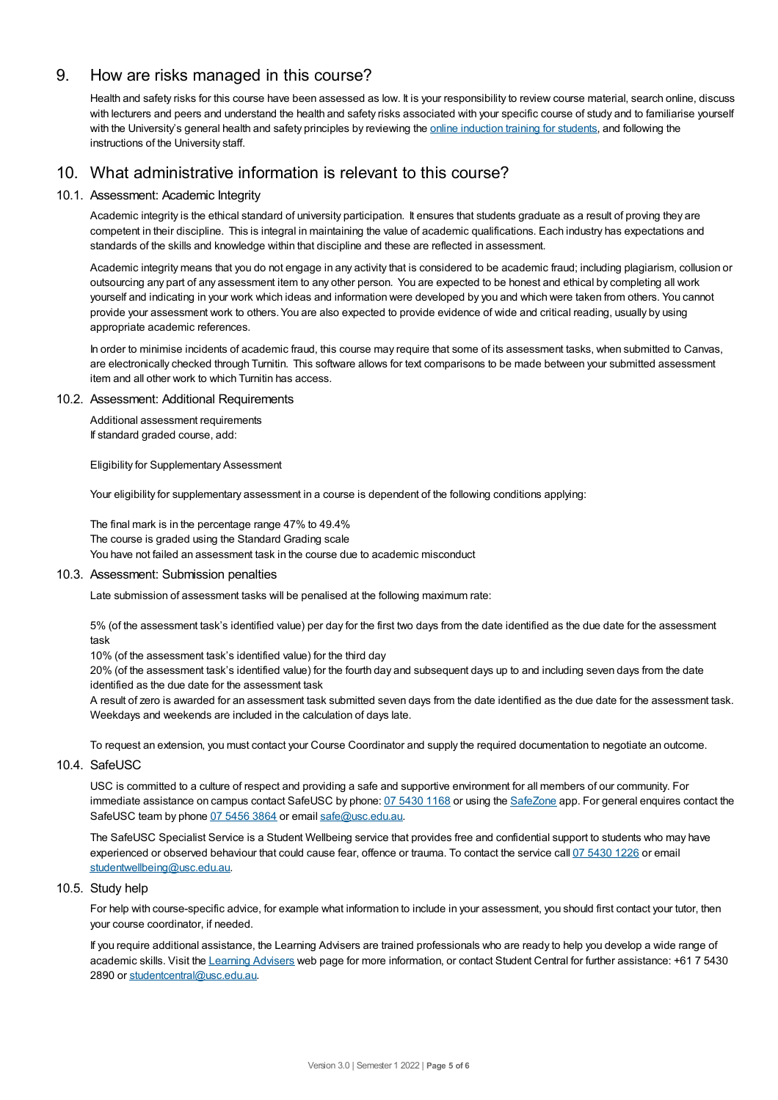## 9. How are risks managed in this course?

Health and safety risks for this course have been assessed as low. It is your responsibility to review course material, search online, discuss with lecturers and peers and understand the health and safety risks associated with your specific course of study and to familiarise yourself with the University's general health and safety principles by reviewing the online [induction](https://online.usc.edu.au/webapps/blackboard/content/listContentEditable.jsp?content_id=_632657_1&course_id=_14432_1) training for students, and following the instructions of the University staff.

## 10. What administrative information is relevant to this course?

## 10.1. Assessment: Academic Integrity

Academic integrity is the ethical standard of university participation. It ensures that students graduate as a result of proving they are competent in their discipline. This is integral in maintaining the value of academic qualifications. Each industry has expectations and standards of the skills and knowledge within that discipline and these are reflected in assessment.

Academic integrity means that you do not engage in any activity that is considered to be academic fraud; including plagiarism, collusion or outsourcing any part of any assessment item to any other person. You are expected to be honest and ethical by completing all work yourself and indicating in your work which ideas and information were developed by you and which were taken from others. You cannot provide your assessment work to others.You are also expected to provide evidence of wide and critical reading, usually by using appropriate academic references.

In order to minimise incidents of academic fraud, this course may require that some of its assessment tasks, when submitted to Canvas, are electronically checked through Turnitin. This software allows for text comparisons to be made between your submitted assessment item and all other work to which Turnitin has access.

#### 10.2. Assessment: Additional Requirements

Additional assessment requirements If standard graded course, add:

Eligibility for Supplementary Assessment

Your eligibility for supplementary assessment in a course is dependent of the following conditions applying:

The final mark is in the percentage range 47% to 49.4% The course is graded using the Standard Grading scale You have not failed an assessment task in the course due to academic misconduct

#### 10.3. Assessment: Submission penalties

Late submission of assessment tasks will be penalised at the following maximum rate:

5% (of the assessment task's identified value) per day for the first two days from the date identified as the due date for the assessment task

10% (of the assessment task's identified value) for the third day

20% (of the assessment task's identified value) for the fourth day and subsequent days up to and including seven days from the date identified as the due date for the assessment task

A result of zero is awarded for an assessment task submitted seven days from the date identified as the due date for the assessment task. Weekdays and weekends are included in the calculation of days late.

To request an extension, you must contact your Course Coordinator and supply the required documentation to negotiate an outcome.

## 10.4. SafeUSC

USC is committed to a culture of respect and providing a safe and supportive environment for all members of our community. For immediate assistance on campus contact SafeUSC by phone: 07 [5430](tel:07%205430%201168) 1168 or using the [SafeZone](https://www.safezoneapp.com) app. For general enquires contact the SafeUSC team by phone 07 [5456](tel:07%205456%203864) 3864 or email [safe@usc.edu.au](mailto:safe@usc.edu.au).

The SafeUSC Specialist Service is a Student Wellbeing service that provides free and confidential support to students who may have experienced or observed behaviour that could cause fear, offence or trauma. To contact the service call 07 [5430](tel:07%205430%201226) 1226 or email [studentwellbeing@usc.edu.au](mailto:studentwellbeing@usc.edu.au).

#### 10.5. Study help

For help with course-specific advice, for example what information to include in your assessment, you should first contact your tutor, then your course coordinator, if needed.

If you require additional assistance, the Learning Advisers are trained professionals who are ready to help you develop a wide range of academic skills. Visit the Learning [Advisers](https://www.usc.edu.au/current-students/student-support/academic-and-study-support/learning-advisers) web page for more information, or contact Student Central for further assistance: +61 7 5430 2890 or [studentcentral@usc.edu.au](mailto:studentcentral@usc.edu.au).